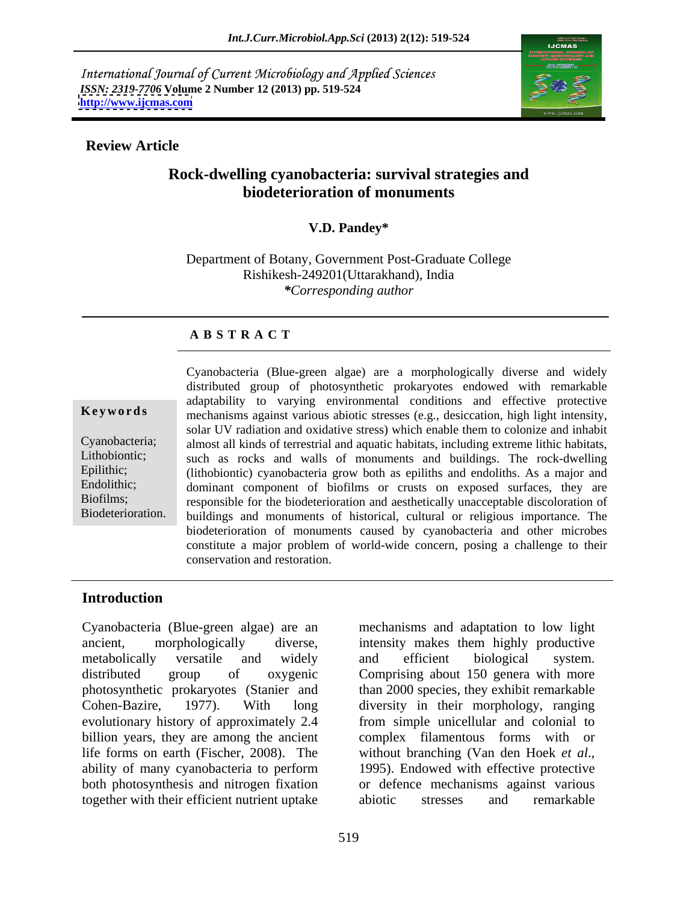International Journal of Current Microbiology and Applied Sciences *ISSN: 2319-7706* **Volume 2 Number 12 (2013) pp. 519-524 <http://www.ijcmas.com>**



### **Review Article**

## **Rock-dwelling cyanobacteria: survival strategies and biodeterioration of monuments**

### **V.D. Pandey\***

Department of Botany, Government Post-Graduate College Rishikesh-249201(Uttarakhand), India *\*Corresponding author* 

### **A B S T R A C T**

**Keywords** mechanisms against various abiotic stresses (e.g., desiccation, high light intensity, Cyanobacteria; almost all kinds of terrestrial and aquatic habitats, including extreme lithic habitats, Lithobiontic; such as rocks and walls of monuments and buildings. The rock-dwelling Epilithic; (lithobiontic) cyanobacteria grow both as epiliths and endoliths. As a major and Endolithic; dominant component of biofilms or crusts on exposed surfaces, they are Biofilms; responsible for the biodeterioration and aesthetically unacceptable discoloration of Biodeterioration. buildings and monuments of historical, cultural or religious importance. The Cyanobacteria (Blue-green algae) are a morphologically diverse and widely distributed group of photosynthetic prokaryotes endowed with remarkable adaptability to varying environmental conditions and effective protective solar UV radiation and oxidative stress) which enable them to colonize and inhabit biodeterioration of monuments caused by cyanobacteria and other microbes constitute a major problem of world-wide concern, posing a challenge to their conservation and restoration.

### **Introduction**

ancient, morphologically diverse, intensity makes them highly productive metabolically versatile and widely distributed group of oxygenic Comprising about 150 genera with more photosynthetic prokaryotes (Stanier and than 2000 species, they exhibit remarkable Cohen-Bazire, 1977). With long diversity in their morphology, ranging evolutionary history of approximately 2.4 from simple unicellular and colonial to billion years, they are among the ancient life forms on earth (Fischer, 2008). The without branching (Van den Hoek et al., ability of many cyanobacteria to perform 1995). Endowed with effective protective both photosynthesis and nitrogen fixation together with their efficient nutrient uptake abiotic stresses and remarkable

Cyanobacteria (Blue-green algae) are an mechanisms and adaptation to low light and efficient biological system. complex filamentous forms with or without branching (Van den Hoek *et al*., 1995). Endowed with effective protective or defence mechanisms against various abiotic stresses and remarkable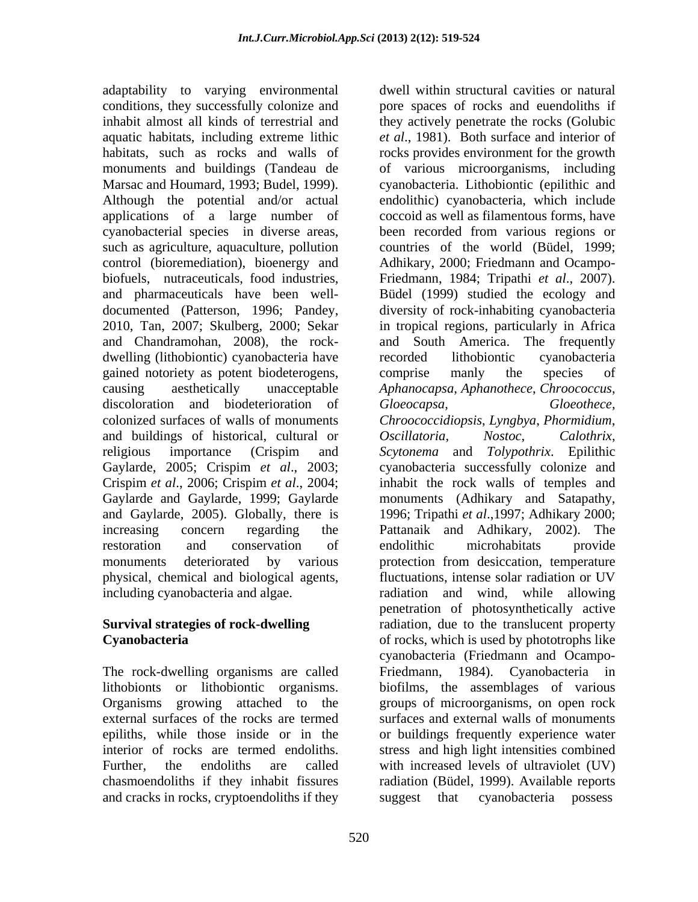adaptability to varying environmental monuments and buildings (Tandeau de applications of a large number of cyanobacterial species in diverse areas, dwelling (lithobiontic) cyanobacteria have recorded lithobiontic cyanobacteria gained notoriety as potent biodeterogens, comprise manly the species of and buildings of historical, cultural or Oscillatoria, Nostoc, Calothrix, physical, chemical and biological agents,

The rock-dwelling organisms are called Friedmann, 1984). Cyanobacteria in and cracks in rocks, cryptoendoliths if they

conditions, they successfully colonize and pore spaces of rocks and euendoliths if inhabit almost all kinds of terrestrial and they actively penetrate the rocks (Golubic aquatic habitats, including extreme lithic *et al*., 1981). Both surface and interior of habitats, such as rocks and walls of rocks provides environment for the growth Marsac and Houmard, 1993; Budel, 1999). cyanobacteria. Lithobiontic (epilithic and Although the potential and/or actual endolithic) cyanobacteria, which include such as agriculture, aquaculture, pollution countries of the world (Büdel, 1999; control (bioremediation), bioenergy and Adhikary, 2000; Friedmann and Ocampo biofuels, nutraceuticals, food industries, Friedmann, 1984; Tripathi *et al*., 2007). and pharmaceuticals have been well- Büdel (1999) studied the ecology and documented (Patterson, 1996; Pandey, diversity of rock-inhabiting cyanobacteria 2010, Tan, 2007; Skulberg, 2000; Sekar in tropical regions, particularly in Africa and Chandramohan, 2008), the rock- and South America. The frequently causing aesthetically unacceptable *Aphanocapsa*, *Aphanothece*, *Chroococcus*, discoloration and biodeterioration of Gloeocapsa, Gloeothece, colonized surfaces of walls of monuments *Chroococcidiopsis*, *Lyngbya*, *Phormidium*, religious importance (Crispim and *Scytonema* and *Tolypothrix*. Epilithic Gaylarde, 2005; Crispim *et al*., 2003; cyanobacteria successfully colonize and Crispim *et al*., 2006; Crispim *et al*., 2004; inhabit the rock walls of temples and Gaylarde and Gaylarde, 1999; Gaylarde monuments (Adhikary and Satapathy, and Gaylarde, 2005). Globally, there is 1996; Tripathi *et al*.,1997; Adhikary 2000; increasing concern regarding the Pattanaik and Adhikary, 2002). The restoration and conservation of endolithic microhabitats provide monuments deteriorated by various protection from desiccation, temperature including cyanobacteria and algae. The allowing radiation and wind, while allowing **Survival strategies of rock-dwelling**  radiation, due to the translucent property **Cyanobacteria** of rocks, which is used by phototrophs like lithobionts or lithobiontic organisms. biofilms, the assemblages of various Organisms growing attached to the groups of microorganisms, on open rock external surfaces of the rocks are termed surfaces and external walls of monuments epiliths, while those inside or in the or buildings frequently experience water interior of rocks are termed endoliths. stress and high light intensities combined Further, the endoliths are called with increased levels of ultraviolet (UV) chasmoendoliths if they inhabit fissures radiation (Büdel, 1999). Available reports dwell within structural cavities or natural of various microorganisms, including coccoid as well as filamentous forms, have been recorded from various regions or recorded lithobiontic cyanobacteria comprise manly the species of *Gloeocapsa*, *Gloeothece*, *Oscillatoria*, *Nostoc*, *Calothrix*, endolithic microhabitats provide fluctuations, intense solar radiation or UV penetration of photosynthetically active cyanobacteria (Friedmann and Ocampo- Friedmann, 1984). Cyanobacteria in cyanobacteria possess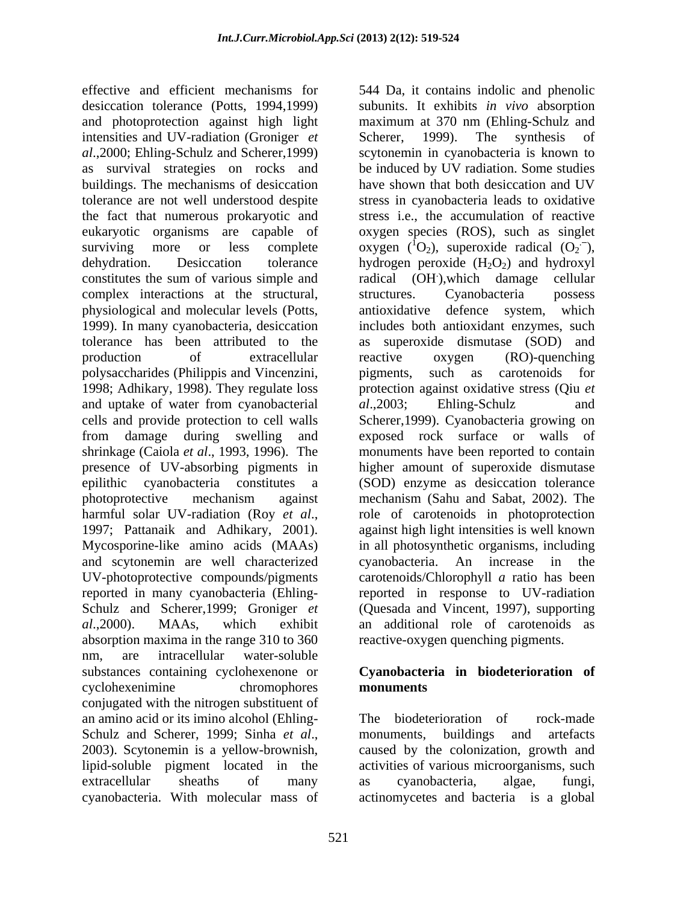effective and efficient mechanisms for 544 Da, it contains indolic and phenolic desiccation tolerance (Potts, 1994,1999) subunits. It exhibits *in vivo* absorption and photoprotection against high light intensities and UV-radiation (Groniger *et* Scherer, 1999). The synthesis of *al*.,2000; Ehling-Schulz and Scherer,1999) scytonemin in cyanobacteria is known to as survival strategies on rocks and be induced by UV radiation. Some studies buildings. The mechanisms of desiccation have shown that both desiccation and UV tolerance are not well understood despite the fact that numerous prokaryotic and eukaryotic organisms are capable of oxygen species (ROS), such as singlet surviving more or less complete oxygen  $({}^{1}O_{2})$ , superoxide radical  $(O_{2})$ , dehydration. Desiccation tolerance hydrogen peroxide  $(H_2O_2)$  and hydroxyl constitutes the sum of various simple and radical (OH), which damage cellular complex interactions at the structural, structures. Cyanobacteria possess physiological and molecular levels (Potts, 1999). In many cyanobacteria, desiccation includes both antioxidant enzymes, such tolerance has been attributed to the as superoxide dismutase (SOD) and production of extracellular reactive oxygen (RO)-quenching polysaccharides (Philippis and Vincenzini, 1998; Adhikary, 1998). They regulate loss protection against oxidative stress (Qiu *et*  and uptake of water from cyanobacterial al., 2003; Ehling-Schulz and cells and provide protection to cell walls Scherer,1999). Cyanobacteria growing on from damage during swelling and exposed rock surface or walls of shrinkage (Caiola *et al*., 1993, 1996). The monuments have been reported to contain presence of UV-absorbing pigments in higher amount of superoxide dismutase epilithic cyanobacteria constitutes a (SOD) enzyme as desiccation tolerance photoprotective mechanism against mechanism (Sahu and Sabat, 2002). The harmful solar UV-radiation (Roy *et al*., 1997; Pattanaik and Adhikary, 2001). Mycosporine-like amino acids (MAAs) in all photosynthetic organisms, including and scytonemin are well characterized cyanobacteria. An increase in the UV-photoprotective compounds/pigments carotenoids/Chlorophyll *a* ratio has been reported in many cyanobacteria (Ehling- reported in response to UV-radiation Schulz and Scherer,1999; Groniger *et*  (Quesada and Vincent, 1997), supporting *al*.,2000). MAAs, which exhibit an additional role of carotenoids as absorption maxima in the range 310 to 360 nm, are intracellular water-soluble substances containing cyclohexenone or **Cyanobacteria in biodeterioration of** cyclohexenimine chromophores **monuments** conjugated with the nitrogen substituent of an amino acid or its imino alcohol (Ehling- Schulz and Scherer, 1999; Sinha *et al.*, monuments, buildings and artefacts 2003). Scytonemin is a yellow-brownish, caused by the colonization, growth and lipid-soluble pigment located in the activities of various microorganisms, such extracellular sheaths of many as cyanobacteria, algae, fungi,

maximum at 370 nm (Ehling-Schulz and Scherer, 1999). The synthesis of stress in cyanobacteria leads to oxidative stress i.e., the accumulation of reactive  $\cdot \bar{ }$ , .),which damage cellular structures. Cyanobacteria possess antioxidative defence system, which reactive oxygen (RO)-quenching pigments, such as carotenoids for *al*.,2003; Ehling-Schulz and role of carotenoids in photoprotection against high light intensities is well known cyanobacteria. An increase in the reactive-oxygen quenching pigments.

# **monuments**

cyanobacteria. With molecular mass of actinomycetes and bacteria is a globalThe biodeterioration of rock-made monuments, buildings and artefacts caused by the colonization, growth and as cyanobacteria, algae, fungi,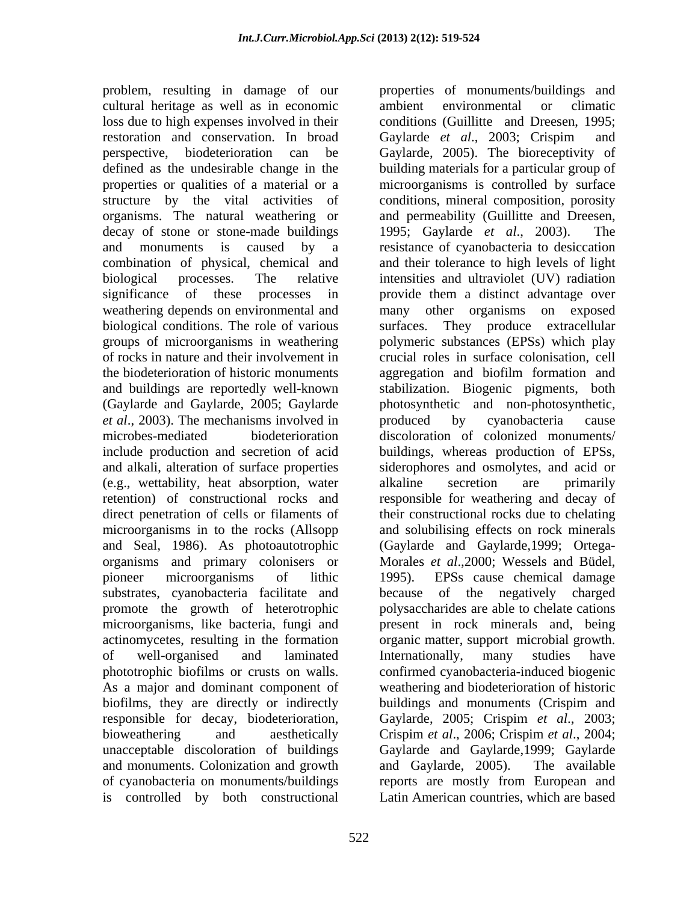problem, resulting in damage of our properties of monuments/buildings and cultural heritage as well as in economic loss due to high expenses involved in their restoration and conservation. In broad Gaylarde et al., 2003; Crispim and perspective, biodeterioration can be Gaylarde, 2005). The bioreceptivity of defined as the undesirable change in the building materials for a particular group of properties or qualities of a material or a microorganisms is controlled by surface structure by the vital activities of conditions, mineral composition, porosity organisms. The natural weathering or decay of stone or stone-made buildings 1995; Gaylarde *et al.*, 2003). The and monuments is caused by a resistance of cyanobacteria to desiccation combination of physical, chemical and biological processes. The relative intensities and ultraviolet (UV) radiation significance of these processes in provide them a distinct advantage over weathering depends on environmental and many other organisms on exposed biological conditions. The role of various groups of microorganisms in weathering polymeric substances (EPSs) which play of rocks in nature and their involvement in crucial roles in surface colonisation, cell the biodeterioration of historic monuments and buildings are reportedly well-known stabilization. Biogenic pigments, both (Gaylarde and Gaylarde, 2005; Gaylarde *et al.*, 2003). The mechanisms involved in produced by cyanobacteria cause microbes-mediated biodeterioration discoloration of colonized monuments/ include production and secretion of acid buildings, whereas production of EPSs, and alkali, alteration of surface properties siderophores and osmolytes, and acid or (e.g., wettability, heat absorption, water alkaline secretion are primarily retention) of constructional rocks and responsible for weathering and decay of retention) of constructional rocks and responsible for weathering and decay of direct penetration of cells or filaments of their constructional rocks due to chelating microorganisms in to the rocks (Allsopp and solubilising effects on rock minerals and Seal, 1986). As photoautotrophic (Gaylarde and Gaylarde,1999; Ortega organisms and primary colonisers or Morales *et al*.,2000; Wessels and Büdel, pioneer microorganisms of lithic 1995). EPSs cause chemical damage substrates, cyanobacteria facilitate and promote the growth of heterotrophic polysaccharides are able to chelate cations microorganisms, like bacteria, fungi and present in rock minerals and, being actinomycetes, resulting in the formation organic matter, support microbial growth. of well-organised and laminated phototrophic biofilms or crusts on walls. confirmed cyanobacteria-induced biogenic As a major and dominant component of weathering and biodeterioration of historic biofilms, they are directly or indirectly buildings and monuments (Crispim and responsible for decay, biodeterioration, Gaylarde, 2005; Crispim *et al*., 2003; bioweathering and aesthetically Crispim *et al*., 2006; Crispim *et al*., 2004; unacceptable discoloration of buildings Gaylarde and Gaylarde,1999; Gaylarde and monuments. Colonization and growth and Gaylarde, 2005). The available of cyanobacteria on monuments/buildings reports are mostly from European and is controlled by both constructional

522 photosynthetic and non-photosynthetic, produced by cyanobacteria cause alkaline secretion are primarily because of the negatively charged Internationally, many studies have buildings and monuments (Crispim and and Gaylarde, 2005). The available Latin American countries, which are based

conditions (Guillitte and Dreesen, 1995;

and permeability (Guillitte and Dreesen,

and their tolerance to high levels of light

They produce extracellular

1995; Gaylarde *et al.*, 2003).

ambient environmental or climatic

many other organisms on exposed

Gaylarde *et al*., 2003; Crispim and

aggregation and biofilm formation and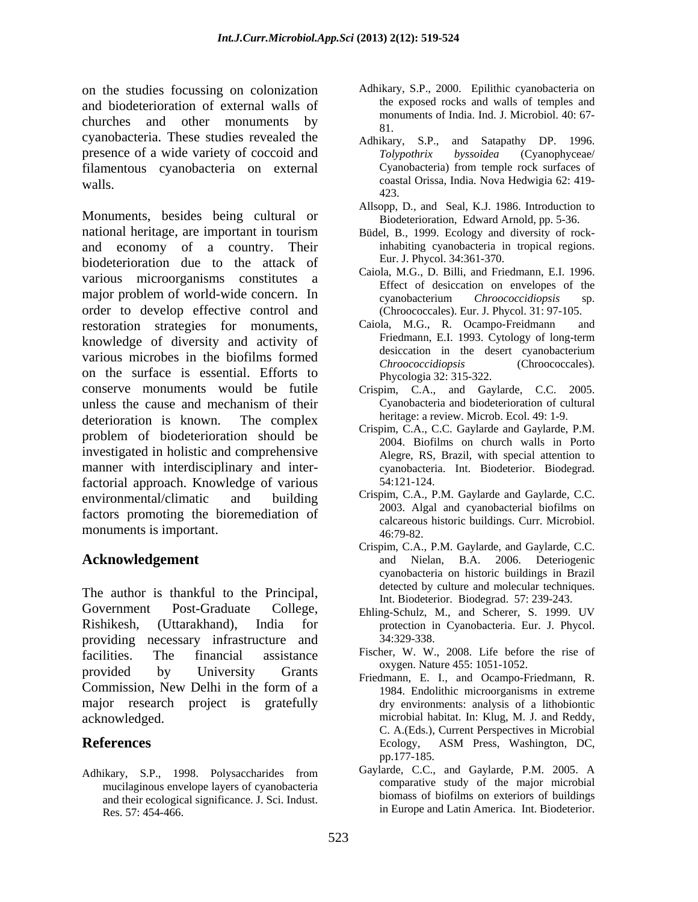on the studies focussing on colonization and biodeterioration of external walls of churches and other monuments by  $\frac{100}{81}$ cyanobacteria. These studies revealed the Adhikary, S.P., and Satapathy DP. 1996. presence of a wide variety of coccoid and Tolypothrix byssoidea (Cyanophyceae/ filamentous cyanobacteria on external Cyanobacteria) from temple rock surfaces of walls. coastal Orissa, India. Nova Hedwigia 62: 419-

Monuments, besides being cultural or national heritage, are important in tourism and economy of a country. Their biodeterioration due to the attack of various microorganisms constitutes a major problem of world-wide concern. In examplement concerned to the concerned of the concerned concerned to the concerned concerned concerned concerned concerned concerned concerned concerned concerned concerned concerned order to develop effective control and restoration strategies for monuments, Caiola, M.G., R. Ocampo-Freidmann and knowledge of diversity and activity of Friedmann, E.I. 1993. Cytology of long-term<br>desiccation in the desert cyanobacterium various microbes in the biofilms formed<br>*Chronococcidiopsis* (Chronococcides). on the surface is essential. Efforts to Phycologia 32: 315-322. conserve monuments would be futile unless the cause and mechanism of their deterioration is known. The complex  $\alpha$  heritage: a review Microb. Ecol. 49: 1-9. problem of biodeterioration should be investigated in holistic and comprehensive manner with interdisciplinary and interfactorial approach. Knowledge of various 54:121-124. environmental/climatic and building Crispin, C.A., P.M. Gaylarde and Gaylarde, C.C. factors promoting the bioremediation of monuments is important. 46:79-82.

The author is thankful to the Principal, Government Post-Graduate College, Ehling-Schulz, M., and Scherer, S. 1999. UV Rishikesh, (Uttarakhand), India for protection in Cyanobacteria. Eur. J. Phycol. providing necessary infrastructure and facilities. The financial assistance Fischer, W. W., 2008. Life before the rise of provided by University Grants Daygen Nature 455, 1051-1052. Commission, New Delhi in the form of a major research project is gratefully

Adhikary, S.P., 1998. Polysaccharides from mucilaginous envelope layers of cyanobacteria and their ecological significance. J. Sci. Indust. Res. 57: 454-466. in Europe and Latin America. Int. Biodeterior.

- Adhikary, S.P., 2000. Epilithic cyanobacteria on the exposed rocks and walls of temples and monuments of India. Ind. J. Microbiol. 40: 67- 81.
- Adhikary, S.P., and Satapathy DP. 1996. *Tolypothrix byssoidea* (Cyanophyceae/ Cyanobacteria) from temple rock surfaces of 423.
- Allsopp, D., and Seal, K.J. 1986. Introduction to Biodeterioration, Edward Arnold, pp. 5-36.
- Büdel, B., 1999. Ecology and diversity of rockinhabiting cyanobacteria in tropical regions. Eur. J. Phycol. 34:361-370.
- Caiola, M.G., D. Billi, and Friedmann, E.I. 1996. Effect of desiccation on envelopes of the cyanobacterium *Chroococcidiopsis* sp. (Chroococcales). Eur. J. Phycol. 31: 97-105.
- Caiola, M.G., R. Ocampo-Freidmann Friedmann, E.I. 1993. Cytology of long-term desiccation in the desert cyanobacterium *Chroococcidiopsis* (Chroococcales). Phycologia 32: 315-322.
- Crispim, C.A., and Gaylarde, C.C. 2005. Cyanobacteria and biodeterioration of cultural heritage: a review. Microb. Ecol. 49: 1-9.
- Crispim, C.A., C.C. Gaylarde and Gaylarde, P.M. 2004. Biofilms on church walls in Porto Alegre, RS, Brazil, with special attention to cyanobacteria. Int. Biodeterior. Biodegrad. 54:121-124.
- Crispim, C.A., P.M. Gaylarde and Gaylarde, C.C. 2003. Algal and cyanobacterial biofilms on calcareous historic buildings. Curr. Microbiol. 46:79-82.
- Acknowledgement and Nielan, B.A. 2006. Deteriogenic Crispim, C.A., P.M. Gaylarde, and Gaylarde, C.C. and Nielan, B.A. 2006. Deteriogenic cyanobacteria on historic buildings in Brazil detected by culture and molecular techniques. Int. Biodeterior. Biodegrad. 57: 239-243.
	- 34:329-338.
	- oxygen. Nature 455: 1051-1052.
- acknowledged. microbial habitat. In: Klug, M. J. and Reddy, **References** Ecology, ASM Press, Washington, DC, pp.177-185. Friedmann, E. I., and Ocampo-Friedmann, R. 1984. Endolithic microorganisms in extreme dry environments: analysis of a lithobiontic C. A.(Eds.), Current Perspectives in Microbial Ecology, ASM Press, Washington, DC, pp.177-185.
	- Gaylarde, C.C., and Gaylarde, P.M. 2005. A comparative study of the major microbial biomass of biofilms on exteriors of buildings